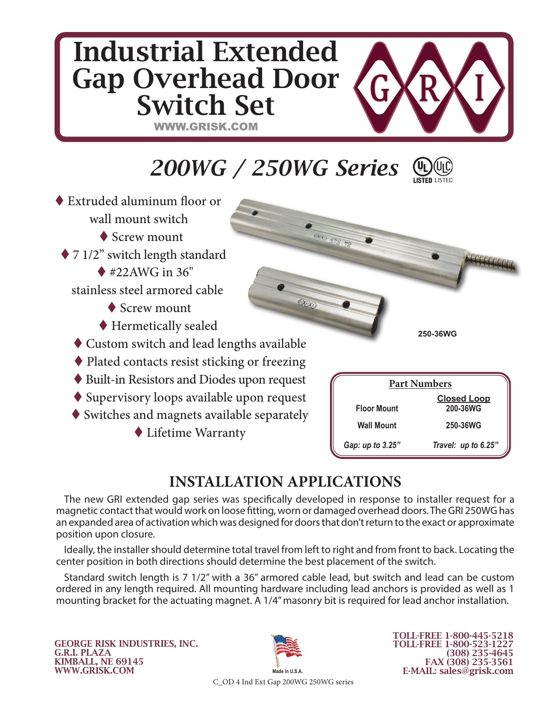## Industrial Extended Gap Overhead Door G Switch Set WWW.GRISK.COM *200WG / 250WG Series* Extruded aluminum floor or wall mount switch ◆ Screw mount ◆ 7 1/2" switch length standard  $*22AWG$  in 36" stainless steel armored cable OOO ◆ Screw mount Hermetically sealed **250-36WG** Custom switch and lead lengths available

- ◆ Plated contacts resist sticking or freezing
- Built-in Resistors and Diodes upon request
- ◆ Supervisory loops available upon request
- $\blacklozenge$  Switches and magnets available separately
	- Lifetime Warranty

| <b>Part Numbers</b> |                                |  |  |  |
|---------------------|--------------------------------|--|--|--|
| <b>Floor Mount</b>  | <b>Closed Loop</b><br>200-36WG |  |  |  |
| <b>Wall Mount</b>   | 250-36WG                       |  |  |  |
| Gap: up to 3.25"    | Travel: up to 6.25"            |  |  |  |

## **INSTALLATION APPLICATIONS**

The new GRI extended gap series was specifically developed in response to installer request for a magnetic contact that would work on loose fitting, worn or damaged overhead doors. The GRI 250WG has an expanded area of activation which was designed for doors that don't return to the exact or approximate position upon closure.

Ideally, the installer should determine total travel from left to right and from front to back. Locating the center position in both directions should determine the best placement of the switch.

Standard switch length is 7 1/2" with a 36" armored cable lead, but switch and lead can be custom ordered in any length required. All mounting hardware including lead anchors is provided as well as 1 mounting bracket for the actuating magnet. A 1/4" masonry bit is required for lead anchor installation.

GEORGE RISK INDUSTRIES, INC. G.R.I. PLAZA KIMBALL, NE 69145 WWW.GRISK.COM



TOLL-FREE 1-800-445-5218 TOLL-FREE 1-800-523-1227 (308) 235-4645 FAX (308) 235-3561 E-MAIL: sales@grisk.com

C\_OD 4 Ind Ext Gap 200WG 250WG series